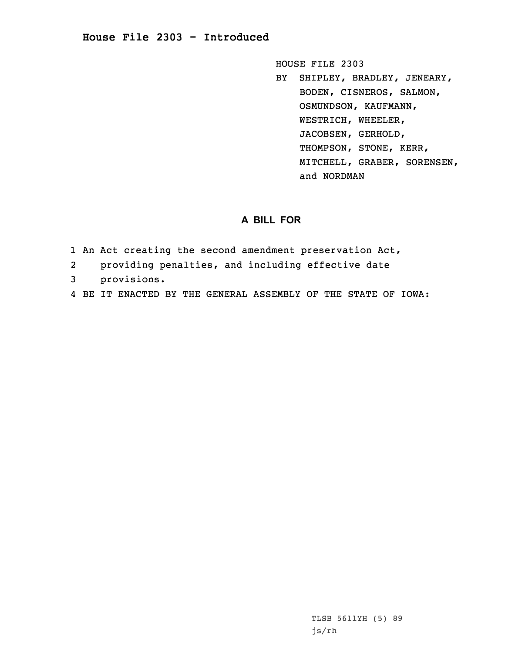# **House File 2303 - Introduced**

HOUSE FILE 2303

BY SHIPLEY, BRADLEY, JENEARY, BODEN, CISNEROS, SALMON, OSMUNDSON, KAUFMANN, WESTRICH, WHEELER, JACOBSEN, GERHOLD, THOMPSON, STONE, KERR, MITCHELL, GRABER, SORENSEN, and NORDMAN

# **A BILL FOR**

- 1 An Act creating the second amendment preservation Act,
- 2providing penalties, and including effective date
- 3 provisions.
- 4 BE IT ENACTED BY THE GENERAL ASSEMBLY OF THE STATE OF IOWA: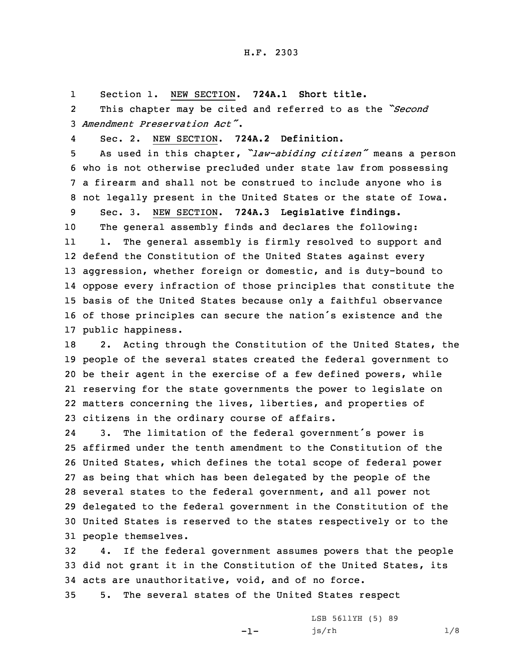1Section 1. NEW SECTION. **724A.1 Short title.**

2 This chapter may be cited and referred to as the *"Second* 3 *Amendment Preservation Act"*.

4Sec. 2. NEW SECTION. **724A.2 Definition.**

 As used in this chapter, *"law-abiding citizen"* means <sup>a</sup> person who is not otherwise precluded under state law from possessing <sup>a</sup> firearm and shall not be construed to include anyone who is not legally present in the United States or the state of Iowa.

9 Sec. 3. NEW SECTION. **724A.3 Legislative findings.** 10 The general assembly finds and declares the following: 11 1. The general assembly is firmly resolved to support and 12 defend the Constitution of the United States against every

 aggression, whether foreign or domestic, and is duty-bound to oppose every infraction of those principles that constitute the basis of the United States because only <sup>a</sup> faithful observance of those principles can secure the nation's existence and the public happiness.

18 2. Acting through the Constitution of the United States, the people of the several states created the federal government to be their agent in the exercise of <sup>a</sup> few defined powers, while reserving for the state governments the power to legislate on matters concerning the lives, liberties, and properties of citizens in the ordinary course of affairs.

24 3. The limitation of the federal government's power is affirmed under the tenth amendment to the Constitution of the United States, which defines the total scope of federal power as being that which has been delegated by the people of the several states to the federal government, and all power not delegated to the federal government in the Constitution of the United States is reserved to the states respectively or to the people themselves.

32 4. If the federal government assumes powers that the people 33 did not grant it in the Constitution of the United States, its 34 acts are unauthoritative, void, and of no force.

-1-

35 5. The several states of the United States respect

LSB 5611YH (5) 89 js/rh 1/8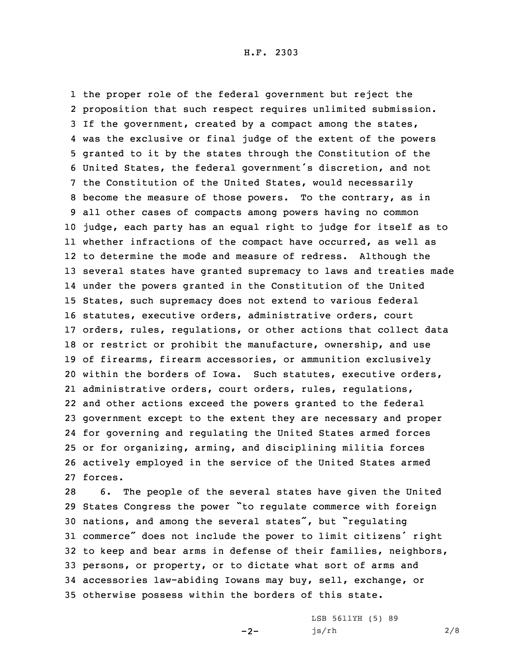the proper role of the federal government but reject the proposition that such respect requires unlimited submission. If the government, created by <sup>a</sup> compact among the states, was the exclusive or final judge of the extent of the powers granted to it by the states through the Constitution of the United States, the federal government's discretion, and not the Constitution of the United States, would necessarily become the measure of those powers. To the contrary, as in all other cases of compacts among powers having no common judge, each party has an equal right to judge for itself as to whether infractions of the compact have occurred, as well as to determine the mode and measure of redress. Although the several states have granted supremacy to laws and treaties made under the powers granted in the Constitution of the United States, such supremacy does not extend to various federal statutes, executive orders, administrative orders, court orders, rules, regulations, or other actions that collect data or restrict or prohibit the manufacture, ownership, and use of firearms, firearm accessories, or ammunition exclusively within the borders of Iowa. Such statutes, executive orders, administrative orders, court orders, rules, regulations, and other actions exceed the powers granted to the federal government except to the extent they are necessary and proper for governing and regulating the United States armed forces or for organizing, arming, and disciplining militia forces actively employed in the service of the United States armed 27 forces.

 6. The people of the several states have given the United States Congress the power "to regulate commerce with foreign nations, and among the several states", but "regulating commerce" does not include the power to limit citizens' right to keep and bear arms in defense of their families, neighbors, persons, or property, or to dictate what sort of arms and accessories law-abiding Iowans may buy, sell, exchange, or otherwise possess within the borders of this state.

 $-2-$ 

LSB 5611YH (5) 89 js/rh 2/8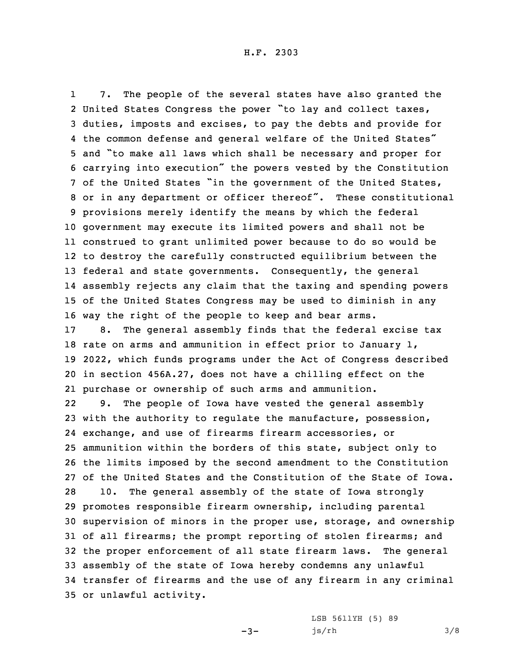1 7. The people of the several states have also granted the United States Congress the power "to lay and collect taxes, duties, imposts and excises, to pay the debts and provide for the common defense and general welfare of the United States" and "to make all laws which shall be necessary and proper for carrying into execution" the powers vested by the Constitution of the United States "in the government of the United States, or in any department or officer thereof". These constitutional provisions merely identify the means by which the federal government may execute its limited powers and shall not be construed to grant unlimited power because to do so would be to destroy the carefully constructed equilibrium between the federal and state governments. Consequently, the general assembly rejects any claim that the taxing and spending powers of the United States Congress may be used to diminish in any way the right of the people to keep and bear arms.

 8. The general assembly finds that the federal excise tax rate on arms and ammunition in effect prior to January 1, 2022, which funds programs under the Act of Congress described in section 456A.27, does not have <sup>a</sup> chilling effect on the purchase or ownership of such arms and ammunition.

22 9. The people of Iowa have vested the general assembly with the authority to regulate the manufacture, possession, exchange, and use of firearms firearm accessories, or ammunition within the borders of this state, subject only to the limits imposed by the second amendment to the Constitution of the United States and the Constitution of the State of Iowa. 10. The general assembly of the state of Iowa strongly promotes responsible firearm ownership, including parental supervision of minors in the proper use, storage, and ownership of all firearms; the prompt reporting of stolen firearms; and the proper enforcement of all state firearm laws. The general assembly of the state of Iowa hereby condemns any unlawful transfer of firearms and the use of any firearm in any criminal or unlawful activity.

 $-3-$ 

LSB 5611YH (5) 89 js/rh 3/8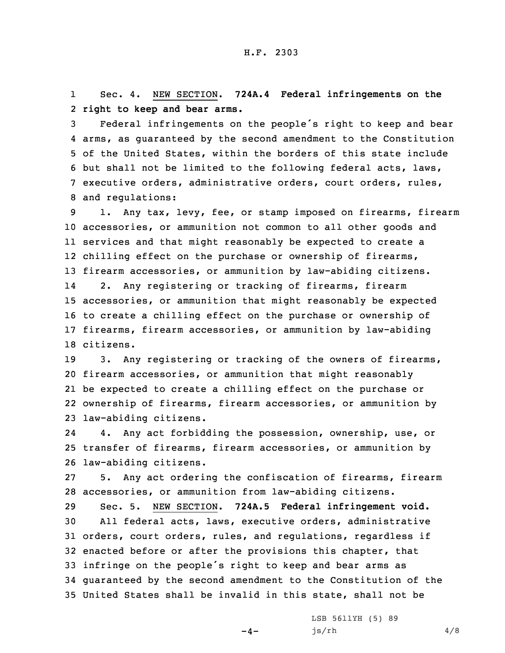1 Sec. 4. NEW SECTION. **724A.4 Federal infringements on the** 2 **right to keep and bear arms.**

 Federal infringements on the people's right to keep and bear arms, as guaranteed by the second amendment to the Constitution of the United States, within the borders of this state include but shall not be limited to the following federal acts, laws, executive orders, administrative orders, court orders, rules, and regulations:

 1. Any tax, levy, fee, or stamp imposed on firearms, firearm accessories, or ammunition not common to all other goods and services and that might reasonably be expected to create <sup>a</sup> 12 chilling effect on the purchase or ownership of firearms, firearm accessories, or ammunition by law-abiding citizens. 14 2. Any registering or tracking of firearms, firearm accessories, or ammunition that might reasonably be expected to create <sup>a</sup> chilling effect on the purchase or ownership of firearms, firearm accessories, or ammunition by law-abiding citizens.

19 3. Any registering or tracking of the owners of firearms, firearm accessories, or ammunition that might reasonably be expected to create <sup>a</sup> chilling effect on the purchase or ownership of firearms, firearm accessories, or ammunition by law-abiding citizens.

24 4. Any act forbidding the possession, ownership, use, or 25 transfer of firearms, firearm accessories, or ammunition by 26 law-abiding citizens.

27 5. Any act ordering the confiscation of firearms, firearm 28 accessories, or ammunition from law-abiding citizens.

 Sec. 5. NEW SECTION. **724A.5 Federal infringement void.** All federal acts, laws, executive orders, administrative orders, court orders, rules, and regulations, regardless if enacted before or after the provisions this chapter, that infringe on the people's right to keep and bear arms as guaranteed by the second amendment to the Constitution of the United States shall be invalid in this state, shall not be

 $-4-$ 

LSB 5611YH (5) 89  $js/rh$  4/8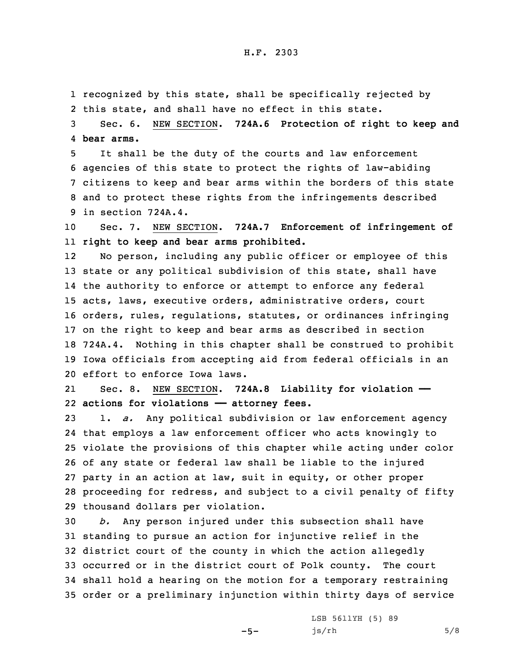### H.F. 2303

1 recognized by this state, shall be specifically rejected by 2 this state, and shall have no effect in this state.

3 Sec. 6. NEW SECTION. **724A.6 Protection of right to keep and** 4 **bear arms.**

 It shall be the duty of the courts and law enforcement agencies of this state to protect the rights of law-abiding citizens to keep and bear arms within the borders of this state and to protect these rights from the infringements described in section 724A.4.

10 Sec. 7. NEW SECTION. **724A.7 Enforcement of infringement of** 11 **right to keep and bear arms prohibited.**

12 No person, including any public officer or employee of this state or any political subdivision of this state, shall have the authority to enforce or attempt to enforce any federal acts, laws, executive orders, administrative orders, court orders, rules, regulations, statutes, or ordinances infringing on the right to keep and bear arms as described in section 724A.4. Nothing in this chapter shall be construed to prohibit Iowa officials from accepting aid from federal officials in an effort to enforce Iowa laws.

21 Sec. 8. NEW SECTION. **724A.8 Liability for violation ——** 22 **actions for violations —— attorney fees.**

 1. *a.* Any political subdivision or law enforcement agency that employs <sup>a</sup> law enforcement officer who acts knowingly to violate the provisions of this chapter while acting under color of any state or federal law shall be liable to the injured party in an action at law, suit in equity, or other proper proceeding for redress, and subject to <sup>a</sup> civil penalty of fifty thousand dollars per violation.

 *b.* Any person injured under this subsection shall have standing to pursue an action for injunctive relief in the district court of the county in which the action allegedly occurred or in the district court of Polk county. The court shall hold <sup>a</sup> hearing on the motion for <sup>a</sup> temporary restraining order or <sup>a</sup> preliminary injunction within thirty days of service

 $-5-$ 

LSB 5611YH (5) 89  $js/rh$  5/8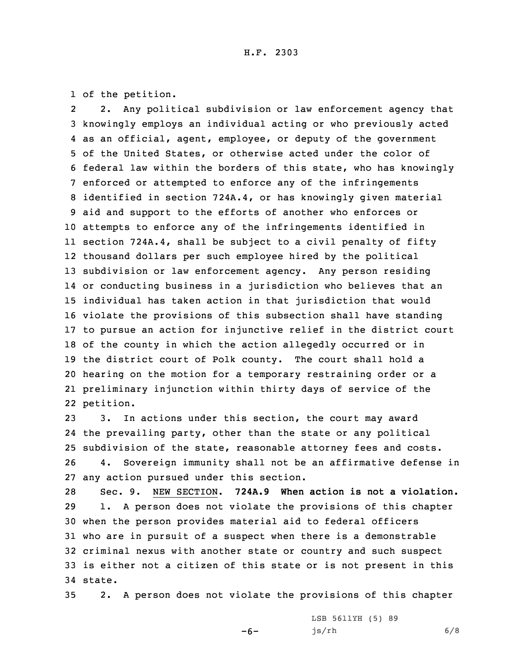1 of the petition.

2 2. Any political subdivision or law enforcement agency that knowingly employs an individual acting or who previously acted as an official, agent, employee, or deputy of the government of the United States, or otherwise acted under the color of federal law within the borders of this state, who has knowingly enforced or attempted to enforce any of the infringements identified in section 724A.4, or has knowingly given material aid and support to the efforts of another who enforces or attempts to enforce any of the infringements identified in section 724A.4, shall be subject to <sup>a</sup> civil penalty of fifty thousand dollars per such employee hired by the political subdivision or law enforcement agency. Any person residing or conducting business in <sup>a</sup> jurisdiction who believes that an individual has taken action in that jurisdiction that would violate the provisions of this subsection shall have standing to pursue an action for injunctive relief in the district court of the county in which the action allegedly occurred or in the district court of Polk county. The court shall hold <sup>a</sup> hearing on the motion for <sup>a</sup> temporary restraining order or <sup>a</sup> preliminary injunction within thirty days of service of the petition.

 3. In actions under this section, the court may award the prevailing party, other than the state or any political subdivision of the state, reasonable attorney fees and costs. 4. Sovereign immunity shall not be an affirmative defense in any action pursued under this section.

 Sec. 9. NEW SECTION. **724A.9 When action is not <sup>a</sup> violation.** 1. <sup>A</sup> person does not violate the provisions of this chapter when the person provides material aid to federal officers who are in pursuit of <sup>a</sup> suspect when there is <sup>a</sup> demonstrable criminal nexus with another state or country and such suspect is either not <sup>a</sup> citizen of this state or is not present in this 34 state.

35 2. <sup>A</sup> person does not violate the provisions of this chapter

 $-6-$ 

LSB 5611YH (5) 89 js/rh 6/8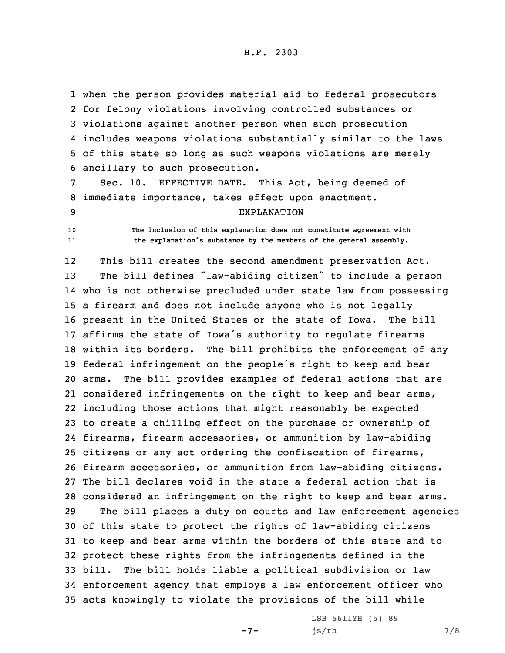when the person provides material aid to federal prosecutors for felony violations involving controlled substances or violations against another person when such prosecution includes weapons violations substantially similar to the laws of this state so long as such weapons violations are merely ancillary to such prosecution.

7 Sec. 10. EFFECTIVE DATE. This Act, being deemed of 8 immediate importance, takes effect upon enactment.

#### 9 EXPLANATION

10 **The inclusion of this explanation does not constitute agreement with** 11**the explanation's substance by the members of the general assembly.**

12This bill creates the second amendment preservation Act.

 The bill defines "law-abiding citizen" to include <sup>a</sup> person who is not otherwise precluded under state law from possessing <sup>a</sup> firearm and does not include anyone who is not legally present in the United States or the state of Iowa. The bill affirms the state of Iowa's authority to regulate firearms within its borders. The bill prohibits the enforcement of any federal infringement on the people's right to keep and bear arms. The bill provides examples of federal actions that are considered infringements on the right to keep and bear arms, including those actions that might reasonably be expected to create <sup>a</sup> chilling effect on the purchase or ownership of firearms, firearm accessories, or ammunition by law-abiding citizens or any act ordering the confiscation of firearms, firearm accessories, or ammunition from law-abiding citizens. The bill declares void in the state <sup>a</sup> federal action that is considered an infringement on the right to keep and bear arms. The bill places <sup>a</sup> duty on courts and law enforcement agencies of this state to protect the rights of law-abiding citizens to keep and bear arms within the borders of this state and to protect these rights from the infringements defined in the bill. The bill holds liable <sup>a</sup> political subdivision or law enforcement agency that employs <sup>a</sup> law enforcement officer who acts knowingly to violate the provisions of the bill while

-7-

LSB 5611YH (5) 89 js/rh 7/8